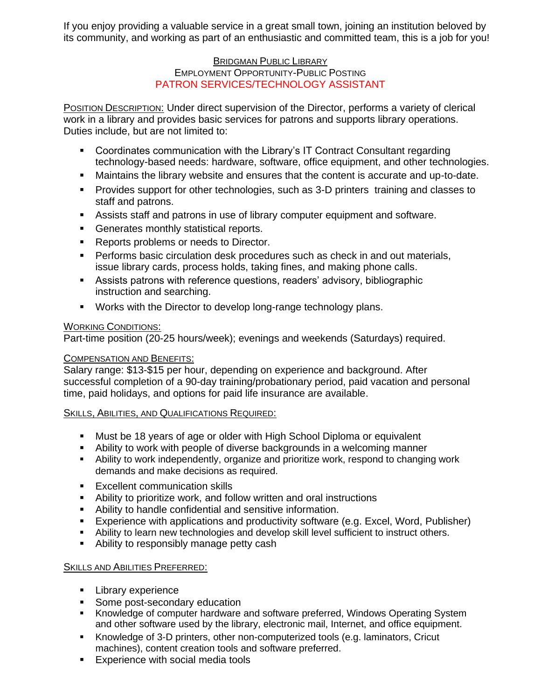If you enjoy providing a valuable service in a great small town, joining an institution beloved by its community, and working as part of an enthusiastic and committed team, this is a job for you!

# BRIDGMAN PUBLIC LIBRARY EMPLOYMENT OPPORTUNITY-PUBLIC POSTING PATRON SERVICES/TECHNOLOGY ASSISTANT

POSITION DESCRIPTION: Under direct supervision of the Director, performs a variety of clerical work in a library and provides basic services for patrons and supports library operations. Duties include, but are not limited to:

- Coordinates communication with the Library's IT Contract Consultant regarding technology-based needs: hardware, software, office equipment, and other technologies.
- Maintains the library website and ensures that the content is accurate and up-to-date.
- **Provides support for other technologies, such as 3-D printers training and classes to** staff and patrons.
- Assists staff and patrons in use of library computer equipment and software.
- **Generates monthly statistical reports.**
- Reports problems or needs to Director.
- **Performs basic circulation desk procedures such as check in and out materials,** issue library cards, process holds, taking fines, and making phone calls.
- Assists patrons with reference questions, readers' advisory, bibliographic instruction and searching.
- Works with the Director to develop long-range technology plans.

# WORKING CONDITIONS:

Part-time position (20-25 hours/week); evenings and weekends (Saturdays) required.

# **COMPENSATION AND BENEFITS:**

Salary range: \$13-\$15 per hour, depending on experience and background. After successful completion of a 90-day training/probationary period, paid vacation and personal time, paid holidays, and options for paid life insurance are available.

# SKILLS, ABILITIES, AND QUALIFICATIONS REQUIRED:

- Must be 18 years of age or older with High School Diploma or equivalent
- Ability to work with people of diverse backgrounds in a welcoming manner
- **E** Ability to work independently, organize and prioritize work, respond to changing work demands and make decisions as required.
- **Excellent communication skills**
- Ability to prioritize work, and follow written and oral instructions
- Ability to handle confidential and sensitive information.
- Experience with applications and productivity software (e.g. Excel, Word, Publisher)
- Ability to learn new technologies and develop skill level sufficient to instruct others.
- Ability to responsibly manage petty cash

# SKILLS AND ABILITIES PREFERRED:

- Library experience
- Some post-secondary education
- Knowledge of computer hardware and software preferred, Windows Operating System and other software used by the library, electronic mail, Internet, and office equipment.
- Knowledge of 3-D printers, other non-computerized tools (e.g. laminators, Cricut machines), content creation tools and software preferred.
- **Experience with social media tools**